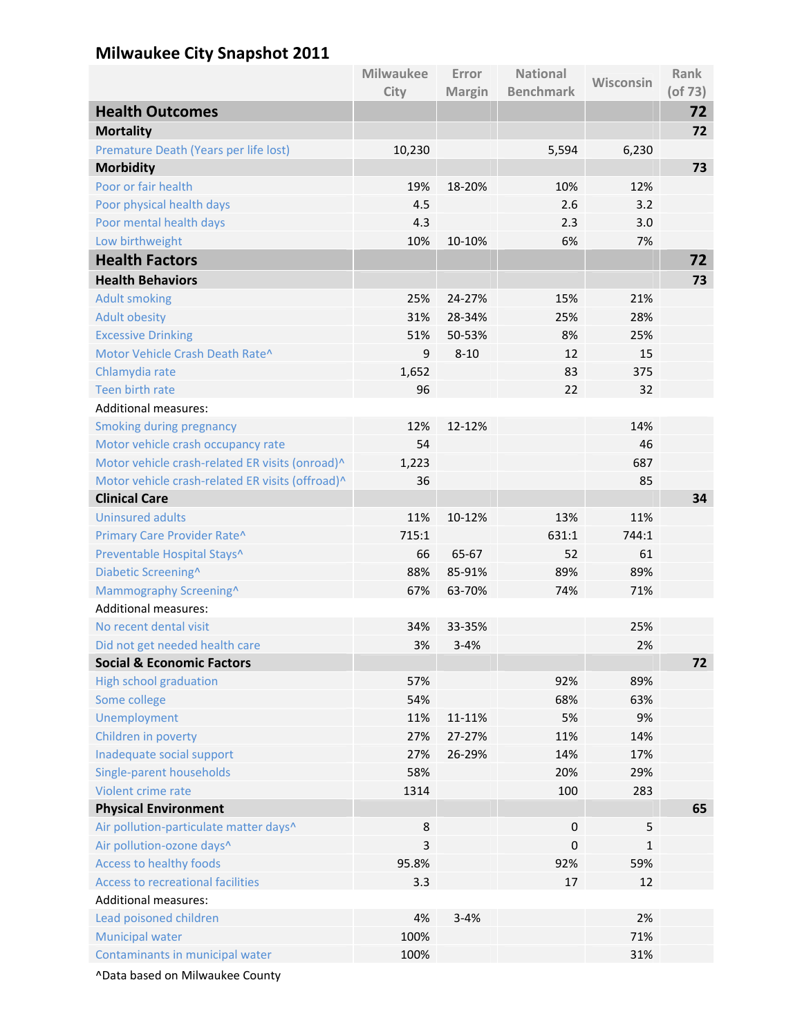## **Milwaukee City Snapshot 2011**

|                                                       | <b>Milwaukee</b> | Error         | <b>National</b>  | Wisconsin    | <b>Rank</b>   |
|-------------------------------------------------------|------------------|---------------|------------------|--------------|---------------|
|                                                       | City             | <b>Margin</b> | <b>Benchmark</b> |              | $($ of 73 $)$ |
| <b>Health Outcomes</b>                                |                  |               |                  |              | 72            |
| <b>Mortality</b>                                      |                  |               |                  |              | 72            |
| Premature Death (Years per life lost)                 | 10,230           |               | 5,594            | 6,230        |               |
| <b>Morbidity</b>                                      |                  |               |                  |              | 73            |
| Poor or fair health                                   | 19%              | 18-20%        | 10%              | 12%          |               |
| Poor physical health days                             | 4.5              |               | 2.6              | 3.2          |               |
| Poor mental health days                               | 4.3              |               | 2.3              | 3.0          |               |
| Low birthweight                                       | 10%              | 10-10%        | 6%               | 7%           |               |
| <b>Health Factors</b>                                 |                  |               |                  |              | 72            |
| <b>Health Behaviors</b>                               |                  |               |                  |              | 73            |
| <b>Adult smoking</b>                                  | 25%              | 24-27%        | 15%              | 21%          |               |
| <b>Adult obesity</b>                                  | 31%              | 28-34%        | 25%              | 28%          |               |
| <b>Excessive Drinking</b>                             | 51%              | 50-53%        | 8%               | 25%          |               |
| Motor Vehicle Crash Death Rate^                       | 9                | $8 - 10$      | 12               | 15           |               |
| Chlamydia rate                                        | 1,652            |               | 83               | 375          |               |
| Teen birth rate                                       | 96               |               | 22               | 32           |               |
| <b>Additional measures:</b>                           |                  |               |                  |              |               |
| <b>Smoking during pregnancy</b>                       | 12%              | 12-12%        |                  | 14%          |               |
| Motor vehicle crash occupancy rate                    | 54               |               |                  | 46           |               |
| Motor vehicle crash-related ER visits (onroad)^       | 1,223            |               |                  | 687          |               |
| Motor vehicle crash-related ER visits (offroad)^      | 36               |               |                  | 85           |               |
| <b>Clinical Care</b>                                  |                  |               |                  |              | 34            |
| <b>Uninsured adults</b>                               | 11%              | 10-12%        | 13%              | 11%          |               |
| Primary Care Provider Rate^                           | 715:1            |               | 631:1            | 744:1        |               |
| Preventable Hospital Stays^                           | 66               | 65-67         | 52               | 61           |               |
| Diabetic Screening^                                   | 88%              | 85-91%        | 89%<br>74%       | 89%<br>71%   |               |
| Mammography Screening^<br><b>Additional measures:</b> | 67%              | 63-70%        |                  |              |               |
| No recent dental visit                                | 34%              | 33-35%        |                  | 25%          |               |
| Did not get needed health care                        | 3%               | $3 - 4%$      |                  | 2%           |               |
| <b>Social &amp; Economic Factors</b>                  |                  |               |                  |              | 72            |
| <b>High school graduation</b>                         | 57%              |               | 92%              | 89%          |               |
| Some college                                          | 54%              |               | 68%              | 63%          |               |
| Unemployment                                          | 11%              | 11-11%        | 5%               | 9%           |               |
| Children in poverty                                   | 27%              | 27-27%        | 11%              | 14%          |               |
| Inadequate social support                             | 27%              | 26-29%        | 14%              | 17%          |               |
| Single-parent households                              | 58%              |               | 20%              | 29%          |               |
| Violent crime rate                                    | 1314             |               | 100              | 283          |               |
| <b>Physical Environment</b>                           |                  |               |                  |              | 65            |
| Air pollution-particulate matter days^                | 8                |               | $\boldsymbol{0}$ | 5            |               |
| Air pollution-ozone days^                             | $\overline{3}$   |               | 0                | $\mathbf{1}$ |               |
| <b>Access to healthy foods</b>                        | 95.8%            |               | 92%              | 59%          |               |
| <b>Access to recreational facilities</b>              | 3.3              |               | 17               | 12           |               |
| <b>Additional measures:</b>                           |                  |               |                  |              |               |
| Lead poisoned children                                | 4%               | $3 - 4%$      |                  | 2%           |               |
| <b>Municipal water</b>                                | 100%             |               |                  | 71%          |               |
| Contaminants in municipal water                       | 100%             |               |                  | 31%          |               |
|                                                       |                  |               |                  |              |               |

^Data based on Milwaukee County